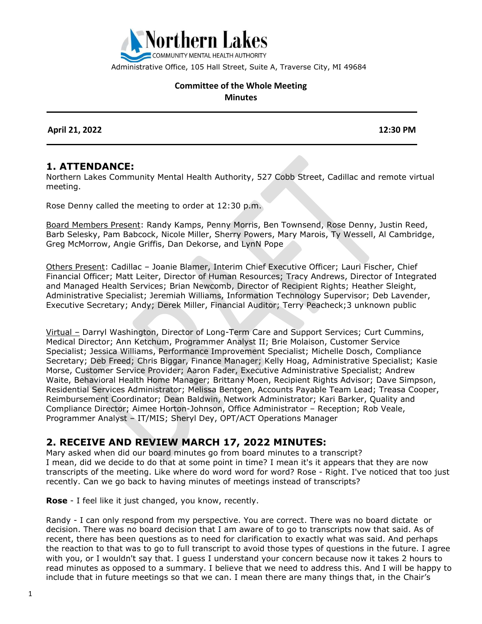

Administrative Office, 105 Hall Street, Suite A, Traverse City, MI 49684

#### **Committee of the Whole Meeting Minutes**

 **April 21, 2022 12:30 PM**

### **1. ATTENDANCE:**

Northern Lakes Community Mental Health Authority, 527 Cobb Street, Cadillac and remote virtual meeting.

Rose Denny called the meeting to order at 12:30 p.m.

Board Members Present: Randy Kamps, Penny Morris, Ben Townsend, Rose Denny, Justin Reed, Barb Selesky, Pam Babcock, Nicole Miller, Sherry Powers, Mary Marois, Ty Wessell, Al Cambridge, Greg McMorrow, Angie Griffis, Dan Dekorse, and LynN Pope

Others Present: Cadillac – Joanie Blamer, Interim Chief Executive Officer; Lauri Fischer, Chief Financial Officer; Matt Leiter, Director of Human Resources; Tracy Andrews, Director of Integrated and Managed Health Services; Brian Newcomb, Director of Recipient Rights; Heather Sleight, Administrative Specialist; Jeremiah Williams, Information Technology Supervisor; Deb Lavender, Executive Secretary; Andy; Derek Miller, Financial Auditor; Terry Peacheck;3 unknown public

Virtual – Darryl Washington, Director of Long-Term Care and Support Services; Curt Cummins, Medical Director; Ann Ketchum, Programmer Analyst II; Brie Molaison, Customer Service Specialist; Jessica Williams, Performance Improvement Specialist; Michelle Dosch, Compliance Secretary; Deb Freed; Chris Biggar, Finance Manager; Kelly Hoag, Administrative Specialist; Kasie Morse, Customer Service Provider; Aaron Fader, Executive Administrative Specialist; Andrew Waite, Behavioral Health Home Manager; Brittany Moen, Recipient Rights Advisor; Dave Simpson, Residential Services Administrator; Melissa Bentgen, Accounts Payable Team Lead; Treasa Cooper, Reimbursement Coordinator; Dean Baldwin, Network Administrator; Kari Barker, Quality and Compliance Director; Aimee Horton-Johnson, Office Administrator – Reception; Rob Veale, Programmer Analyst – IT/MIS; Sheryl Dey, OPT/ACT Operations Manager

## **2. RECEIVE AND REVIEW MARCH 17, 2022 MINUTES:**

Mary asked when did our board minutes go from board minutes to a transcript? I mean, did we decide to do that at some point in time? I mean it's it appears that they are now transcripts of the meeting. Like where do word word for word? Rose - Right. I've noticed that too just recently. Can we go back to having minutes of meetings instead of transcripts?

**Rose** - I feel like it just changed, you know, recently.

Randy - I can only respond from my perspective. You are correct. There was no board dictate or decision. There was no board decision that I am aware of to go to transcripts now that said. As of recent, there has been questions as to need for clarification to exactly what was said. And perhaps the reaction to that was to go to full transcript to avoid those types of questions in the future. I agree with you, or I wouldn't say that. I guess I understand your concern because now it takes 2 hours to read minutes as opposed to a summary. I believe that we need to address this. And I will be happy to include that in future meetings so that we can. I mean there are many things that, in the Chair's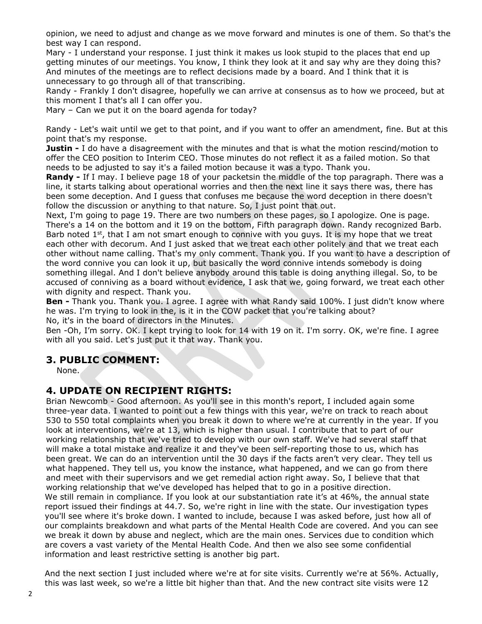opinion, we need to adjust and change as we move forward and minutes is one of them. So that's the best way I can respond.

Mary - I understand your response. I just think it makes us look stupid to the places that end up getting minutes of our meetings. You know, I think they look at it and say why are they doing this? And minutes of the meetings are to reflect decisions made by a board. And I think that it is unnecessary to go through all of that transcribing.

Randy - Frankly I don't disagree, hopefully we can arrive at consensus as to how we proceed, but at this moment I that's all I can offer you.

Mary – Can we put it on the board agenda for today?

Randy - Let's wait until we get to that point, and if you want to offer an amendment, fine. But at this point that's my response.

**Justin -** I do have a disagreement with the minutes and that is what the motion rescind/motion to offer the CEO position to Interim CEO. Those minutes do not reflect it as a failed motion. So that needs to be adjusted to say it's a failed motion because it was a typo. Thank you.

**Randy -** If I may. I believe page 18 of your packetsin the middle of the top paragraph. There was a line, it starts talking about operational worries and then the next line it says there was, there has been some deception. And I guess that confuses me because the word deception in there doesn't follow the discussion or anything to that nature. So, I just point that out.

Next, I'm going to page 19. There are two numbers on these pages, so I apologize. One is page. There's a 14 on the bottom and it 19 on the bottom, Fifth paragraph down. Randy recognized Barb. Barb noted  $1<sup>st</sup>$ , that I am not smart enough to connive with you guys. It is my hope that we treat each other with decorum. And I just asked that we treat each other politely and that we treat each other without name calling. That's my only comment. Thank you. If you want to have a description of the word connive you can look it up, but basically the word connive intends somebody is doing something illegal. And I don't believe anybody around this table is doing anything illegal. So, to be accused of conniving as a board without evidence, I ask that we, going forward, we treat each other with dignity and respect. Thank you.

**Ben -** Thank you. Thank you. I agree. I agree with what Randy said 100%. I just didn't know where he was. I'm trying to look in the, is it in the COW packet that you're talking about? No, it's in the board of directors in the Minutes.

Ben -Oh, I'm sorry. OK. I kept trying to look for 14 with 19 on it. I'm sorry. OK, we're fine. I agree with all you said. Let's just put it that way. Thank you.

### **3. PUBLIC COMMENT:**

None.

### **4. UPDATE ON RECIPIENT RIGHTS:**

Brian Newcomb - Good afternoon. As you'll see in this month's report, I included again some three-year data. I wanted to point out a few things with this year, we're on track to reach about 530 to 550 total complaints when you break it down to where we're at currently in the year. If you look at interventions, we're at 13, which is higher than usual. I contribute that to part of our working relationship that we've tried to develop with our own staff. We've had several staff that will make a total mistake and realize it and they've been self-reporting those to us, which has been great. We can do an intervention until the 30 days if the facts aren't very clear. They tell us what happened. They tell us, you know the instance, what happened, and we can go from there and meet with their supervisors and we get remedial action right away. So, I believe that that working relationship that we've developed has helped that to go in a positive direction. We still remain in compliance. If you look at our substantiation rate it's at 46%, the annual state report issued their findings at 44.7. So, we're right in line with the state. Our investigation types you'll see where it's broke down. I wanted to include, because I was asked before, just how all of our complaints breakdown and what parts of the Mental Health Code are covered. And you can see we break it down by abuse and neglect, which are the main ones. Services due to condition which are covers a vast variety of the Mental Health Code. And then we also see some confidential information and least restrictive setting is another big part.

And the next section I just included where we're at for site visits. Currently we're at 56%. Actually, this was last week, so we're a little bit higher than that. And the new contract site visits were 12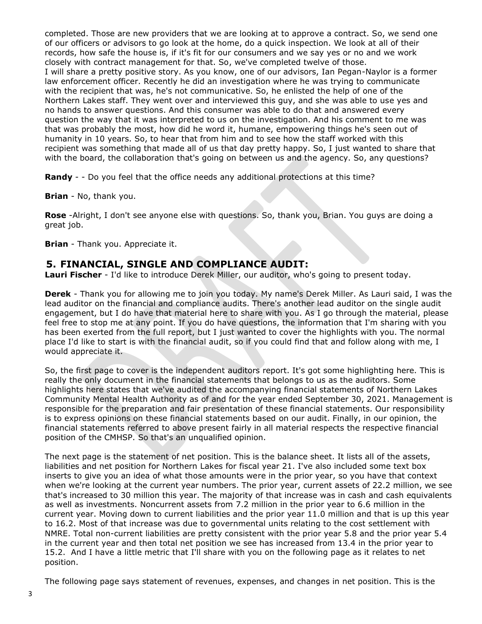completed. Those are new providers that we are looking at to approve a contract. So, we send one of our officers or advisors to go look at the home, do a quick inspection. We look at all of their records, how safe the house is, if it's fit for our consumers and we say yes or no and we work closely with contract management for that. So, we've completed twelve of those. I will share a pretty positive story. As you know, one of our advisors, Ian Pegan-Naylor is a former law enforcement officer. Recently he did an investigation where he was trying to communicate with the recipient that was, he's not communicative. So, he enlisted the help of one of the Northern Lakes staff. They went over and interviewed this guy, and she was able to use yes and no hands to answer questions. And this consumer was able to do that and answered every question the way that it was interpreted to us on the investigation. And his comment to me was that was probably the most, how did he word it, humane, empowering things he's seen out of humanity in 10 years. So, to hear that from him and to see how the staff worked with this recipient was something that made all of us that day pretty happy. So, I just wanted to share that with the board, the collaboration that's going on between us and the agency. So, any questions?

Randy - - Do you feel that the office needs any additional protections at this time?

**Brian** - No, thank you.

**Rose** -Alright, I don't see anyone else with questions. So, thank you, Brian. You guys are doing a great job.

**Brian** - Thank you. Appreciate it.

## **5. FINANCIAL, SINGLE AND COMPLIANCE AUDIT:**

**Lauri Fischer** - I'd like to introduce Derek Miller, our auditor, who's going to present today.

**Derek** - Thank you for allowing me to join you today. My name's Derek Miller. As Lauri said, I was the lead auditor on the financial and compliance audits. There's another lead auditor on the single audit engagement, but I do have that material here to share with you. As I go through the material, please feel free to stop me at any point. If you do have questions, the information that I'm sharing with you has been exerted from the full report, but I just wanted to cover the highlights with you. The normal place I'd like to start is with the financial audit, so if you could find that and follow along with me, I would appreciate it.

So, the first page to cover is the independent auditors report. It's got some highlighting here. This is really the only document in the financial statements that belongs to us as the auditors. Some highlights here states that we've audited the accompanying financial statements of Northern Lakes Community Mental Health Authority as of and for the year ended September 30, 2021. Management is responsible for the preparation and fair presentation of these financial statements. Our responsibility is to express opinions on these financial statements based on our audit. Finally, in our opinion, the financial statements referred to above present fairly in all material respects the respective financial position of the CMHSP. So that's an unqualified opinion.

The next page is the statement of net position. This is the balance sheet. It lists all of the assets, liabilities and net position for Northern Lakes for fiscal year 21. I've also included some text box inserts to give you an idea of what those amounts were in the prior year, so you have that context when we're looking at the current year numbers. The prior year, current assets of 22.2 million, we see that's increased to 30 million this year. The majority of that increase was in cash and cash equivalents as well as investments. Noncurrent assets from 7.2 million in the prior year to 6.6 million in the current year. Moving down to current liabilities and the prior year 11.0 million and that is up this year to 16.2. Most of that increase was due to governmental units relating to the cost settlement with NMRE. Total non-current liabilities are pretty consistent with the prior year 5.8 and the prior year 5.4 in the current year and then total net position we see has increased from 13.4 in the prior year to 15.2. And I have a little metric that I'll share with you on the following page as it relates to net position.

The following page says statement of revenues, expenses, and changes in net position. This is the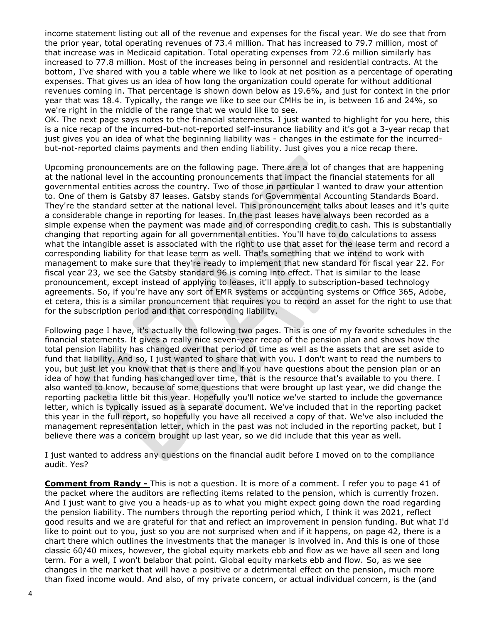income statement listing out all of the revenue and expenses for the fiscal year. We do see that from the prior year, total operating revenues of 73.4 million. That has increased to 79.7 million, most of that increase was in Medicaid capitation. Total operating expenses from 72.6 million similarly has increased to 77.8 million. Most of the increases being in personnel and residential contracts. At the bottom, I've shared with you a table where we like to look at net position as a percentage of operating expenses. That gives us an idea of how long the organization could operate for without additional revenues coming in. That percentage is shown down below as 19.6%, and just for context in the prior year that was 18.4. Typically, the range we like to see our CMHs be in, is between 16 and 24%, so we're right in the middle of the range that we would like to see.

OK. The next page says notes to the financial statements. I just wanted to highlight for you here, this is a nice recap of the incurred-but-not-reported self-insurance liability and it's got a 3-year recap that just gives you an idea of what the beginning liability was - changes in the estimate for the incurredbut-not-reported claims payments and then ending liability. Just gives you a nice recap there.

Upcoming pronouncements are on the following page. There are a lot of changes that are happening at the national level in the accounting pronouncements that impact the financial statements for all governmental entities across the country. Two of those in particular I wanted to draw your attention to. One of them is Gatsby 87 leases. Gatsby stands for Governmental Accounting Standards Board. They're the standard setter at the national level. This pronouncement talks about leases and it's quite a considerable change in reporting for leases. In the past leases have always been recorded as a simple expense when the payment was made and of corresponding credit to cash. This is substantially changing that reporting again for all governmental entities. You'll have to do calculations to assess what the intangible asset is associated with the right to use that asset for the lease term and record a corresponding liability for that lease term as well. That's something that we intend to work with management to make sure that they're ready to implement that new standard for fiscal year 22. For fiscal year 23, we see the Gatsby standard 96 is coming into effect. That is similar to the lease pronouncement, except instead of applying to leases, it'll apply to subscription-based technology agreements. So, if you're have any sort of EMR systems or accounting systems or Office 365, Adobe, et cetera, this is a similar pronouncement that requires you to record an asset for the right to use that for the subscription period and that corresponding liability.

Following page I have, it's actually the following two pages. This is one of my favorite schedules in the financial statements. It gives a really nice seven-year recap of the pension plan and shows how the total pension liability has changed over that period of time as well as the assets that are set aside to fund that liability. And so, I just wanted to share that with you. I don't want to read the numbers to you, but just let you know that that is there and if you have questions about the pension plan or an idea of how that funding has changed over time, that is the resource that's available to you there. I also wanted to know, because of some questions that were brought up last year, we did change the reporting packet a little bit this year. Hopefully you'll notice we've started to include the governance letter, which is typically issued as a separate document. We've included that in the reporting packet this year in the full report, so hopefully you have all received a copy of that. We've also included the management representation letter, which in the past was not included in the reporting packet, but I believe there was a concern brought up last year, so we did include that this year as well.

I just wanted to address any questions on the financial audit before I moved on to the compliance audit. Yes?

**Comment from Randy -** This is not a question. It is more of a comment. I refer you to page 41 of the packet where the auditors are reflecting items related to the pension, which is currently frozen. And I just want to give you a heads-up as to what you might expect going down the road regarding the pension liability. The numbers through the reporting period which, I think it was 2021, reflect good results and we are grateful for that and reflect an improvement in pension funding. But what I'd like to point out to you, just so you are not surprised when and if it happens, on page 42, there is a chart there which outlines the investments that the manager is involved in. And this is one of those classic 60/40 mixes, however, the global equity markets ebb and flow as we have all seen and long term. For a well, I won't belabor that point. Global equity markets ebb and flow. So, as we see changes in the market that will have a positive or a detrimental effect on the pension, much more than fixed income would. And also, of my private concern, or actual individual concern, is the (and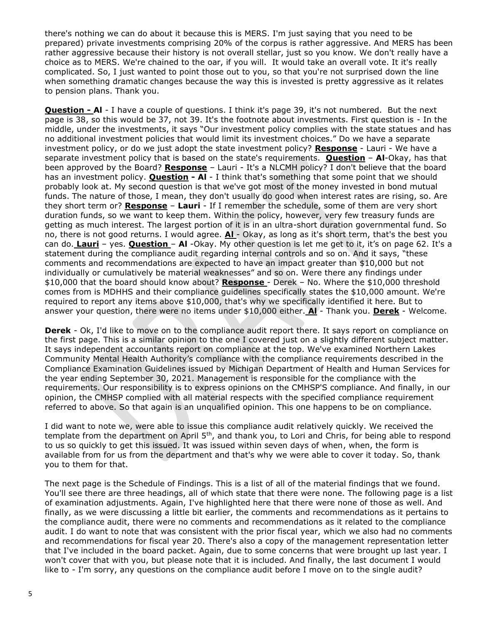there's nothing we can do about it because this is MERS. I'm just saying that you need to be prepared) private investments comprising 20% of the corpus is rather aggressive. And MERS has been rather aggressive because their history is not overall stellar, just so you know. We don't really have a choice as to MERS. We're chained to the oar, if you will. It would take an overall vote. It it's really complicated. So, I just wanted to point those out to you, so that you're not surprised down the line when something dramatic changes because the way this is invested is pretty aggressive as it relates to pension plans. Thank you.

**Question - Al** - I have a couple of questions. I think it's page 39, it's not numbered. But the next page is 38, so this would be 37, not 39. It's the footnote about investments. First question is - In the middle, under the investments, it says "Our investment policy complies with the state statues and has no additional investment policies that would limit its investment choices." Do we have a separate investment policy, or do we just adopt the state investment policy? **Response** - Lauri - We have a separate investment policy that is based on the state's requirements. **Question** – **Al**-Okay, has that been approved by the Board? **Response** – Lauri - It's a NLCMH policy? I don't believe that the board has an investment policy. **Question - Al** - I think that's something that some point that we should probably look at. My second question is that we've got most of the money invested in bond mutual funds. The nature of those, I mean, they don't usually do good when interest rates are rising, so. Are they short term or? **Response** – **Lauri** - If I remember the schedule, some of them are very short duration funds, so we want to keep them. Within the policy, however, very few treasury funds are getting as much interest. The largest portion of it is in an ultra-short duration governmental fund. So no, there is not good returns. I would agree. **Al** - Okay, as long as it's short term, that's the best you can do. **Lauri** – yes. **Question** – **Al** -Okay. My other question is let me get to it, it's on page 62. It's a statement during the compliance audit regarding internal controls and so on. And it says, "these comments and recommendations are expected to have an impact greater than \$10,000 but not individually or cumulatively be material weaknesses" and so on. Were there any findings under \$10,000 that the board should know about? **Response** - Derek – No. Where the \$10,000 threshold comes from is MDHHS and their compliance guidelines specifically states the \$10,000 amount. We're required to report any items above \$10,000, that's why we specifically identified it here. But to answer your question, there were no items under \$10,000 either. **Al** - Thank you. **Derek** - Welcome.

**Derek** - Ok, I'd like to move on to the compliance audit report there. It says report on compliance on the first page. This is a similar opinion to the one I covered just on a slightly different subject matter. It says independent accountants report on compliance at the top. We've examined Northern Lakes Community Mental Health Authority's compliance with the compliance requirements described in the Compliance Examination Guidelines issued by Michigan Department of Health and Human Services for the year ending September 30, 2021. Management is responsible for the compliance with the requirements. Our responsibility is to express opinions on the CMHSP'S compliance. And finally, in our opinion, the CMHSP complied with all material respects with the specified compliance requirement referred to above. So that again is an unqualified opinion. This one happens to be on compliance.

I did want to note we, were able to issue this compliance audit relatively quickly. We received the template from the department on April 5<sup>th</sup>, and thank you, to Lori and Chris, for being able to respond to us so quickly to get this issued. It was issued within seven days of when, when, the form is available from for us from the department and that's why we were able to cover it today. So, thank you to them for that.

The next page is the Schedule of Findings. This is a list of all of the material findings that we found. You'll see there are three headings, all of which state that there were none. The following page is a list of examination adjustments. Again, I've highlighted here that there were none of those as well. And finally, as we were discussing a little bit earlier, the comments and recommendations as it pertains to the compliance audit, there were no comments and recommendations as it related to the compliance audit. I do want to note that was consistent with the prior fiscal year, which we also had no comments and recommendations for fiscal year 20. There's also a copy of the management representation letter that I've included in the board packet. Again, due to some concerns that were brought up last year. I won't cover that with you, but please note that it is included. And finally, the last document I would like to - I'm sorry, any questions on the compliance audit before I move on to the single audit?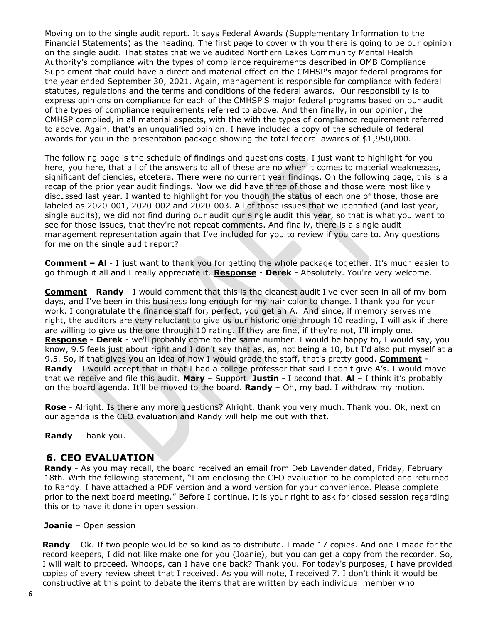Moving on to the single audit report. It says Federal Awards (Supplementary Information to the Financial Statements) as the heading. The first page to cover with you there is going to be our opinion on the single audit. That states that we've audited Northern Lakes Community Mental Health Authority's compliance with the types of compliance requirements described in OMB Compliance Supplement that could have a direct and material effect on the CMHSP's major federal programs for the year ended September 30, 2021. Again, management is responsible for compliance with federal statutes, regulations and the terms and conditions of the federal awards. Our responsibility is to express opinions on compliance for each of the CMHSP'S major federal programs based on our audit of the types of compliance requirements referred to above. And then finally, in our opinion, the CMHSP complied, in all material aspects, with the with the types of compliance requirement referred to above. Again, that's an unqualified opinion. I have included a copy of the schedule of federal awards for you in the presentation package showing the total federal awards of \$1,950,000.

The following page is the schedule of findings and questions costs. I just want to highlight for you here, you here, that all of the answers to all of these are no when it comes to material weaknesses, significant deficiencies, etcetera. There were no current year findings. On the following page, this is a recap of the prior year audit findings. Now we did have three of those and those were most likely discussed last year. I wanted to highlight for you though the status of each one of those, those are labeled as 2020-001, 2020-002 and 2020-003. All of those issues that we identified (and last year, single audits), we did not find during our audit our single audit this year, so that is what you want to see for those issues, that they're not repeat comments. And finally, there is a single audit management representation again that I've included for you to review if you care to. Any questions for me on the single audit report?

**Comment – Al** - I just want to thank you for getting the whole package together. It's much easier to go through it all and I really appreciate it. **Response** - **Derek** - Absolutely. You're very welcome.

**Comment** - **Randy** - I would comment that this is the cleanest audit I've ever seen in all of my born days, and I've been in this business long enough for my hair color to change. I thank you for your work. I congratulate the finance staff for, perfect, you get an A. And since, if memory serves me right, the auditors are very reluctant to give us our historic one through 10 reading, I will ask if there are willing to give us the one through 10 rating. If they are fine, if they're not, I'll imply one. **Response - Derek** - we'll probably come to the same number. I would be happy to, I would say, you know, 9.5 feels just about right and I don't say that as, as, not being a 10, but I'd also put myself at a 9.5. So, if that gives you an idea of how I would grade the staff, that's pretty good. **Comment - Randy** - I would accept that in that I had a college professor that said I don't give A's. I would move that we receive and file this audit. **Mary** – Support. **Justin** - I second that. **Al** – I think it's probably on the board agenda. It'll be moved to the board. **Randy** – Oh, my bad. I withdraw my motion.

**Rose** - Alright. Is there any more questions? Alright, thank you very much. Thank you. Ok, next on our agenda is the CEO evaluation and Randy will help me out with that.

**Randy** - Thank you.

### **6. CEO EVALUATION**

**Randy** - As you may recall, the board received an email from Deb Lavender dated, Friday, February 18th. With the following statement, "I am enclosing the CEO evaluation to be completed and returned to Randy. I have attached a PDF version and a word version for your convenience. Please complete prior to the next board meeting." Before I continue, it is your right to ask for closed session regarding this or to have it done in open session.

#### **Joanie** – Open session

**Randy** – Ok. If two people would be so kind as to distribute. I made 17 copies. And one I made for the record keepers, I did not like make one for you (Joanie), but you can get a copy from the recorder. So, I will wait to proceed. Whoops, can I have one back? Thank you. For today's purposes, I have provided copies of every review sheet that I received. As you will note, I received 7. I don't think it would be constructive at this point to debate the items that are written by each individual member who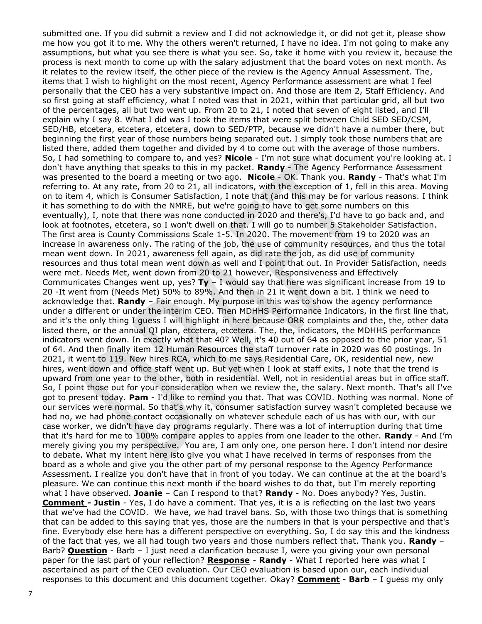submitted one. If you did submit a review and I did not acknowledge it, or did not get it, please show me how you got it to me. Why the others weren't returned, I have no idea. I'm not going to make any assumptions, but what you see there is what you see. So, take it home with you review it, because the process is next month to come up with the salary adjustment that the board votes on next month. As it relates to the review itself, the other piece of the review is the Agency Annual Assessment. The, items that I wish to highlight on the most recent, Agency Performance assessment are what I feel personally that the CEO has a very substantive impact on. And those are item 2, Staff Efficiency. And so first going at staff efficiency, what I noted was that in 2021, within that particular grid, all but two of the percentages, all but two went up. From 20 to 21, I noted that seven of eight listed, and I'll explain why I say 8. What I did was I took the items that were split between Child SED SED/CSM, SED/HB, etcetera, etcetera, etcetera, down to SED/PTP, because we didn't have a number there, but beginning the first year of those numbers being separated out. I simply took those numbers that are listed there, added them together and divided by 4 to come out with the average of those numbers. So, I had something to compare to, and yes? **Nicole** - I'm not sure what document you're looking at. I don't have anything that speaks to this in my packet. **Randy** - The Agency Performance Assessment was presented to the board a meeting or two ago. **Nicole** - OK. Thank you. **Randy** - That's what I'm referring to. At any rate, from 20 to 21, all indicators, with the exception of 1, fell in this area. Moving on to item 4, which is Consumer Satisfaction, I note that (and this may be for various reasons. I think it has something to do with the NMRE, but we're going to have to get some numbers on this eventually), I, note that there was none conducted in 2020 and there's, I'd have to go back and, and look at footnotes, etcetera, so I won't dwell on that. I will go to number 5 Stakeholder Satisfaction. The first area is County Commissions Scale 1-5. In 2020. The movement from 19 to 2020 was an increase in awareness only. The rating of the job, the use of community resources, and thus the total mean went down. In 2021, awareness fell again, as did rate the job, as did use of community resources and thus total mean went down as well and I point that out. In Provider Satisfaction, needs were met. Needs Met, went down from 20 to 21 however, Responsiveness and Effectively Communicates Changes went up, yes? **Ty** – I would say that here was significant increase from 19 to 20 -It went from (Needs Met) 50% to 89%. And then in 21 it went down a bit. I think we need to acknowledge that. **Randy** – Fair enough. My purpose in this was to show the agency performance under a different or under the interim CEO. Then MDHHS Performance Indicators, in the first line that, and it's the only thing I guess I will highlight in here because ORR complaints and the, the, other data listed there, or the annual QI plan, etcetera, etcetera. The, the, indicators, the MDHHS performance indicators went down. In exactly what that 40? Well, it's 40 out of 64 as opposed to the prior year, 51 of 64. And then finally item 12 Human Resources the staff turnover rate in 2020 was 60 postings. In 2021, it went to 119. New hires RCA, which to me says Residential Care, OK, residential new, new hires, went down and office staff went up. But yet when I look at staff exits, I note that the trend is upward from one year to the other, both in residential. Well, not in residential areas but in office staff. So, I point those out for your consideration when we review the, the salary. Next month. That's all I've got to present today. **Pam** - I'd like to remind you that. That was COVID. Nothing was normal. None of our services were normal. So that's why it, consumer satisfaction survey wasn't completed because we had no, we had phone contact occasionally on whatever schedule each of us has with our, with our case worker, we didn't have day programs regularly. There was a lot of interruption during that time that it's hard for me to 100% compare apples to apples from one leader to the other. **Randy** - And I'm merely giving you my perspective. You are, I am only one, one person here. I don't intend nor desire to debate. What my intent here isto give you what I have received in terms of responses from the board as a whole and give you the other part of my personal response to the Agency Performance Assessment. I realize you don't have that in front of you today. We can continue at the at the board's pleasure. We can continue this next month if the board wishes to do that, but I'm merely reporting what I have observed. **Joanie** – Can I respond to that? **Randy** - No. Does anybody? Yes, Justin. **Comment - Justin** - Yes, I do have a comment. That yes, it is a is reflecting on the last two years that we've had the COVID. We have, we had travel bans. So, with those two things that is something that can be added to this saying that yes, those are the numbers in that is your perspective and that's fine. Everybody else here has a different perspective on everything. So, I do say this and the kindness of the fact that yes, we all had tough two years and those numbers reflect that. Thank you. **Randy** – Barb? **Question** - Barb – I just need a clarification because I, were you giving your own personal paper for the last part of your reflection? **Response** - **Randy** - What I reported here was what I ascertained as part of the CEO evaluation. Our CEO evaluation is based upon our, each individual responses to this document and this document together. Okay? **Comment** - **Barb** – I guess my only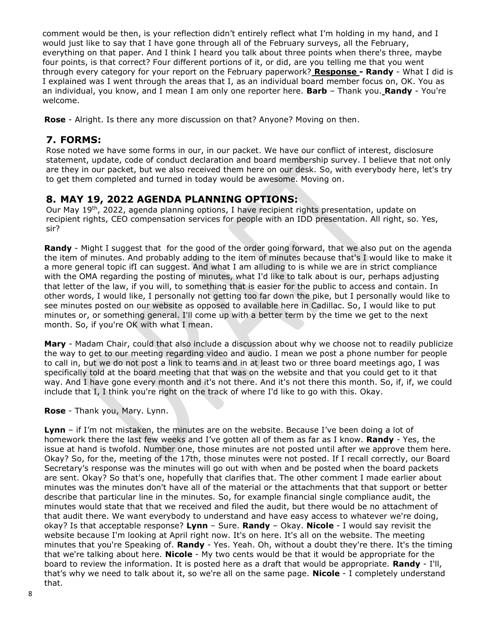comment would be then, is your reflection didn't entirely reflect what I'm holding in my hand, and I would just like to say that I have gone through all of the February surveys, all the February, everything on that paper. And I think I heard you talk about three points when there's three, maybe four points, is that correct? Four different portions of it, or did, are you telling me that you went through every category for your report on the February paperwork? **Response - Randy** - What I did is I explained was I went through the areas that I, as an individual board member focus on, OK. You as an individual, you know, and I mean I am only one reporter here. **Barb** – Thank you. **Randy** - You're welcome.

**Rose** - Alright. Is there any more discussion on that? Anyone? Moving on then.

## **7. FORMS:**

Rose noted we have some forms in our, in our packet. We have our conflict of interest, disclosure statement, update, code of conduct declaration and board membership survey. I believe that not only are they in our packet, but we also received them here on our desk. So, with everybody here, let's try to get them completed and turned in today would be awesome. Moving on.

## **8. MAY 19, 2022 AGENDA PLANNING OPTIONS:**

Our May 19<sup>th</sup>, 2022, agenda planning options, I have recipient rights presentation, update on recipient rights, CEO compensation services for people with an IDD presentation. All right, so. Yes, sir?

**Randy** - Might I suggest that for the good of the order going forward, that we also put on the agenda the item of minutes. And probably adding to the item of minutes because that's I would like to make it a more general topic ifI can suggest. And what I am alluding to is while we are in strict compliance with the OMA regarding the posting of minutes, what I'd like to talk about is our, perhaps adjusting that letter of the law, if you will, to something that is easier for the public to access and contain. In other words, I would like, I personally not getting too far down the pike, but I personally would like to see minutes posted on our website as opposed to available here in Cadillac. So, I would like to put minutes or, or something general. I'll come up with a better term by the time we get to the next month. So, if you're OK with what I mean.

**Mary** - Madam Chair, could that also include a discussion about why we choose not to readily publicize the way to get to our meeting regarding video and audio. I mean we post a phone number for people to call in, but we do not post a link to teams and in at least two or three board meetings ago, I was specifically told at the board meeting that that was on the website and that you could get to it that way. And I have gone every month and it's not there. And it's not there this month. So, if, if, we could include that I, I think you're right on the track of where I'd like to go with this. Okay.

#### **Rose** - Thank you, Mary. Lynn.

**Lynn** – if I'm not mistaken, the minutes are on the website. Because I've been doing a lot of homework there the last few weeks and I've gotten all of them as far as I know. **Randy** - Yes, the issue at hand is twofold. Number one, those minutes are not posted until after we approve them here. Okay? So, for the, meeting of the 17th, those minutes were not posted. If I recall correctly, our Board Secretary's response was the minutes will go out with when and be posted when the board packets are sent. Okay? So that's one, hopefully that clarifies that. The other comment I made earlier about minutes was the minutes don't have all of the material or the attachments that that support or better describe that particular line in the minutes. So, for example financial single compliance audit, the minutes would state that that we received and filed the audit, but there would be no attachment of that audit there. We want everybody to understand and have easy access to whatever we're doing, okay? Is that acceptable response? **Lynn** – Sure. **Randy** – Okay. **Nicole** - I would say revisit the website because I'm looking at April right now. It's on here. It's all on the website. The meeting minutes that you're Speaking of. **Randy** - Yes. Yeah. Oh, without a doubt they're there. It's the timing that we're talking about here. **Nicole** - My two cents would be that it would be appropriate for the board to review the information. It is posted here as a draft that would be appropriate. **Randy** - I'll, that's why we need to talk about it, so we're all on the same page. **Nicole** - I completely understand that.